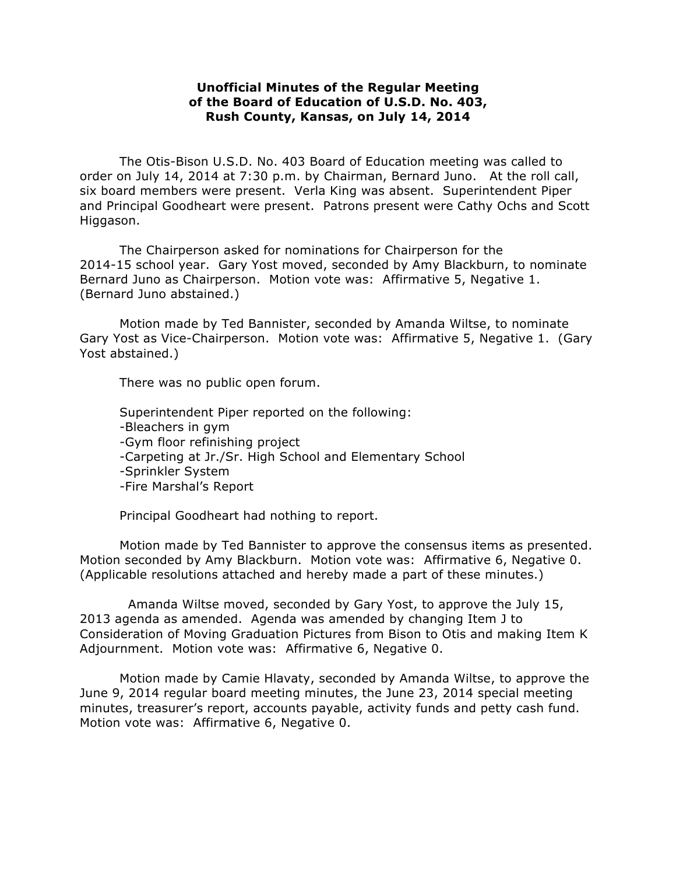## **Unofficial Minutes of the Regular Meeting of the Board of Education of U.S.D. No. 403, Rush County, Kansas, on July 14, 2014**

The Otis-Bison U.S.D. No. 403 Board of Education meeting was called to order on July 14, 2014 at 7:30 p.m. by Chairman, Bernard Juno. At the roll call, six board members were present. Verla King was absent. Superintendent Piper and Principal Goodheart were present. Patrons present were Cathy Ochs and Scott Higgason.

The Chairperson asked for nominations for Chairperson for the 2014-15 school year. Gary Yost moved, seconded by Amy Blackburn, to nominate Bernard Juno as Chairperson. Motion vote was: Affirmative 5, Negative 1. (Bernard Juno abstained.)

Motion made by Ted Bannister, seconded by Amanda Wiltse, to nominate Gary Yost as Vice-Chairperson. Motion vote was: Affirmative 5, Negative 1. (Gary Yost abstained.)

There was no public open forum.

Superintendent Piper reported on the following: -Bleachers in gym -Gym floor refinishing project -Carpeting at Jr./Sr. High School and Elementary School -Sprinkler System -Fire Marshal's Report

Principal Goodheart had nothing to report.

Motion made by Ted Bannister to approve the consensus items as presented. Motion seconded by Amy Blackburn. Motion vote was: Affirmative 6, Negative 0. (Applicable resolutions attached and hereby made a part of these minutes.)

Amanda Wiltse moved, seconded by Gary Yost, to approve the July 15, 2013 agenda as amended. Agenda was amended by changing Item J to Consideration of Moving Graduation Pictures from Bison to Otis and making Item K Adjournment. Motion vote was: Affirmative 6, Negative 0.

Motion made by Camie Hlavaty, seconded by Amanda Wiltse, to approve the June 9, 2014 regular board meeting minutes, the June 23, 2014 special meeting minutes, treasurer's report, accounts payable, activity funds and petty cash fund. Motion vote was: Affirmative 6, Negative 0.